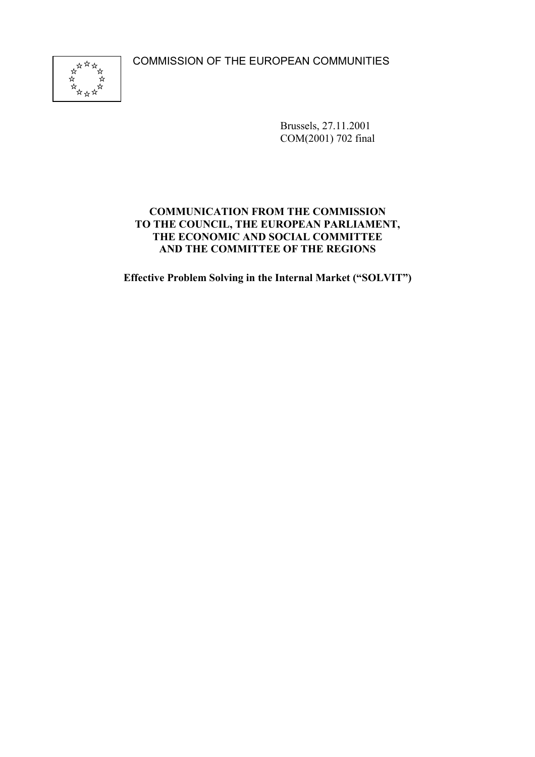COMMISSION OF THE EUROPEAN COMMUNITIES



Brussels, 27.11.2001 COM(2001) 702 final

## **COMMUNICATION FROM THE COMMISSION TO THE COUNCIL, THE EUROPEAN PARLIAMENT, THE ECONOMIC AND SOCIAL COMMITTEE AND THE COMMITTEE OF THE REGIONS**

**Effective Problem Solving in the Internal Market ("SOLVIT")**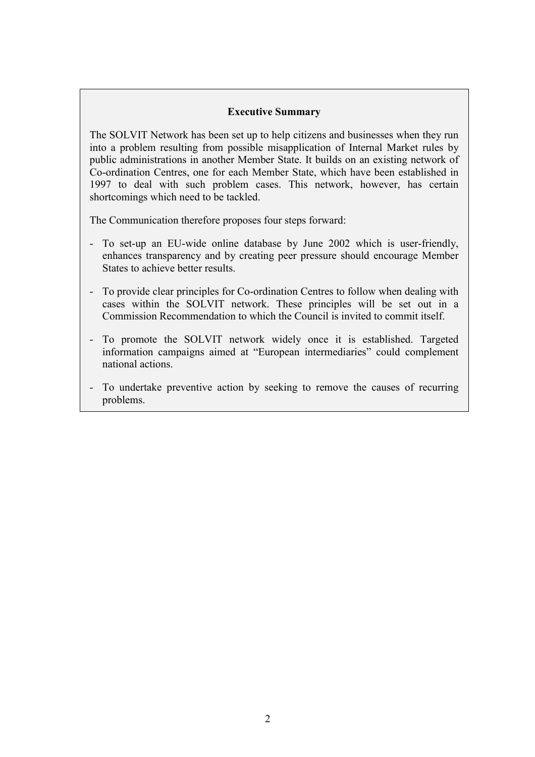#### **Executive Summary**

The SOLVIT Network has been set up to help citizens and businesses when they run into a problem resulting from possible misapplication of Internal Market rules by public administrations in another Member State. It builds on an existing network of Co-ordination Centres, one for each Member State, which have been established in 1997 to deal with such problem cases. This network, however, has certain shortcomings which need to be tackled.

The Communication therefore proposes four steps forward:

- To set-up an EU-wide online database by June 2002 which is user-friendly, enhances transparency and by creating peer pressure should encourage Member States to achieve better results.
- To provide clear principles for Co-ordination Centres to follow when dealing with cases within the SOLVIT network. These principles will be set out in a Commission Recommendation to which the Council is invited to commit itself.
- To promote the SOLVIT network widely once it is established. Targeted information campaigns aimed at "European intermediaries" could complement national actions.
- To undertake preventive action by seeking to remove the causes of recurring problems.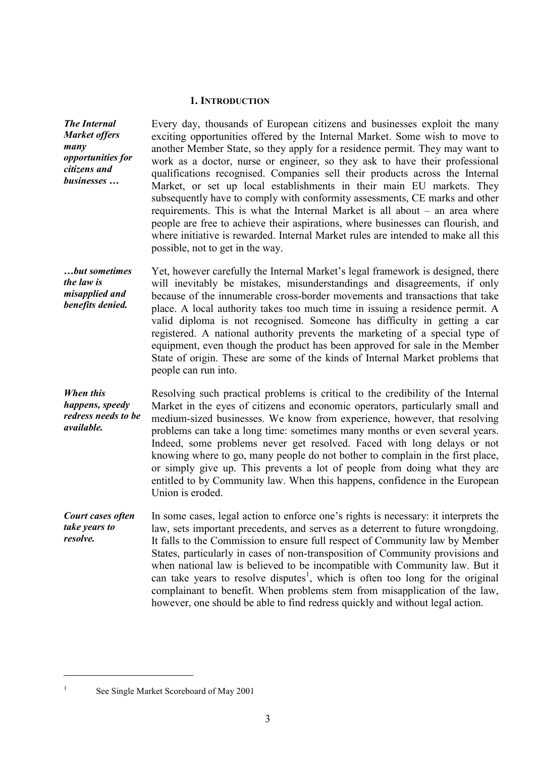#### **1. INTRODUCTION**

*The Internal Market offers many opportunities for citizens and businesses …* Every day, thousands of European citizens and businesses exploit the many exciting opportunities offered by the Internal Market. Some wish to move to another Member State, so they apply for a residence permit. They may want to work as a doctor, nurse or engineer, so they ask to have their professional qualifications recognised. Companies sell their products across the Internal Market, or set up local establishments in their main EU markets. They subsequently have to comply with conformity assessments, CE marks and other requirements. This is what the Internal Market is all about – an area where people are free to achieve their aspirations, where businesses can flourish, and where initiative is rewarded. Internal Market rules are intended to make all this possible, not to get in the way.

*…but sometimes the law is misapplied and benefits denied.* Yet, however carefully the Internal Market's legal framework is designed, there will inevitably be mistakes, misunderstandings and disagreements, if only because of the innumerable cross-border movements and transactions that take place. A local authority takes too much time in issuing a residence permit. A valid diploma is not recognised. Someone has difficulty in getting a car registered. A national authority prevents the marketing of a special type of equipment, even though the product has been approved for sale in the Member State of origin. These are some of the kinds of Internal Market problems that people can run into.

*When this happens, speedy redress needs to be available.* Resolving such practical problems is critical to the credibility of the Internal Market in the eyes of citizens and economic operators, particularly small and medium-sized businesses. We know from experience, however, that resolving problems can take a long time: sometimes many months or even several years. Indeed, some problems never get resolved. Faced with long delays or not knowing where to go, many people do not bother to complain in the first place, or simply give up. This prevents a lot of people from doing what they are entitled to by Community law. When this happens, confidence in the European Union is eroded.

*Court cases often take years to resolve.* In some cases, legal action to enforce one's rights is necessary: it interprets the law, sets important precedents, and serves as a deterrent to future wrongdoing. It falls to the Commission to ensure full respect of Community law by Member States, particularly in cases of non-transposition of Community provisions and when national law is believed to be incompatible with Community law. But it can take years to resolve disputes<sup>1</sup>, which is often too long for the original complainant to benefit. When problems stem from misapplication of the law, however, one should be able to find redress quickly and without legal action.

 $\overline{a}$ 

See Single Market Scoreboard of May 2001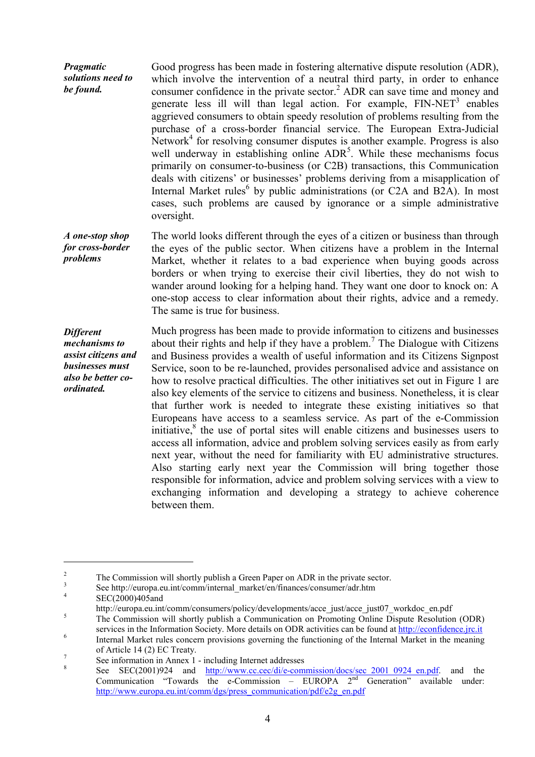*Pragmatic solutions need to be found.* Good progress has been made in fostering alternative dispute resolution (ADR), which involve the intervention of a neutral third party, in order to enhance consumer confidence in the private sector. $^2$  ADR can save time and money and generate less ill will than legal action. For example,  $FIN-NET<sup>3</sup>$  enables aggrieved consumers to obtain speedy resolution of problems resulting from the purchase of a cross-border financial service. The European Extra-Judicial Network<sup>4</sup> for resolving consumer disputes is another example. Progress is also well underway in establishing online  $\text{ADR}^5$ . While these mechanisms focus primarily on consumer-to-business (or C2B) transactions, this Communication deals with citizens' or businesses' problems deriving from a misapplication of Internal Market rules<sup>6</sup> by public administrations (or C2A and B2A). In most cases, such problems are caused by ignorance or a simple administrative oversight.

*A one-stop shop for cross-border problems* The world looks different through the eyes of a citizen or business than through the eyes of the public sector. When citizens have a problem in the Internal Market, whether it relates to a bad experience when buying goods across borders or when trying to exercise their civil liberties, they do not wish to wander around looking for a helping hand. They want one door to knock on: A one-stop access to clear information about their rights, advice and a remedy. The same is true for business.

*Different mechanisms to assist citizens and businesses must also be better coordinated.* Much progress has been made to provide information to citizens and businesses about their rights and help if they have a problem.<sup>7</sup> The Dialogue with Citizens and Business provides a wealth of useful information and its Citizens Signpost Service, soon to be re-launched, provides personalised advice and assistance on how to resolve practical difficulties. The other initiatives set out in Figure 1 are also key elements of the service to citizens and business. Nonetheless, it is clear that further work is needed to integrate these existing initiatives so that Europeans have access to a seamless service. As part of the e-Commission initiative, ${}^{8}$  the use of portal sites will enable citizens and businesses users to access all information, advice and problem solving services easily as from early next year, without the need for familiarity with EU administrative structures. Also starting early next year the Commission will bring together those responsible for information, advice and problem solving services with a view to exchanging information and developing a strategy to achieve coherence between them.

 $\overline{a}$ 

<sup>&</sup>lt;sup>2</sup><br>
<sup>3</sup><br>
See http://europa.eu.int/comm/internal\_market/en/finances/consumer/adr.htm<br>
SEC(2000)405and

http://europa.eu.int/comm/consumers/policy/developments/acce\_just/acce\_just07\_workdoc\_en.pdf<br>
<sup>5</sup> The Commission will shortly publish a Communication on Promoting Online Dispute Resolution (ODR) services in the Information Society. More details on ODR activities can be found at http://econfidence.jrc.it<br>Internal Market rules concern provisions governing the functioning of the Internal Market in the meaning

of Article 14 (2) EC Treaty.<br>
<sup>7</sup> See information in Annex 1 - including Internet addresses<br>
<sup>8</sup> See SEC(2001)924 and <u>http://www.cc.cec/di/e-commission/docs/sec\_20</u>01\_0924\_en.pdf. and the

 $Commonimization$  "Towards the e-Commission – EUROPA  $2<sup>nd</sup>$  Generation" available under: http://www.europa.eu.int/comm/dgs/press\_communication/pdf/e2g\_en.pdf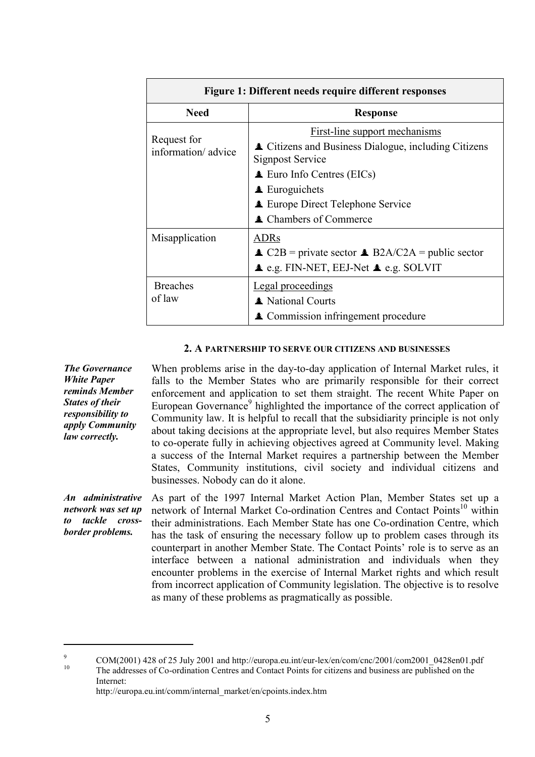| Figure 1: Different needs require different responses |                                                                                                                                                                                                                                                                        |  |  |  |  |  |  |  |
|-------------------------------------------------------|------------------------------------------------------------------------------------------------------------------------------------------------------------------------------------------------------------------------------------------------------------------------|--|--|--|--|--|--|--|
| <b>Need</b>                                           | <b>Response</b>                                                                                                                                                                                                                                                        |  |  |  |  |  |  |  |
| Request for<br>information/advice                     | <b>First-line support mechanisms</b><br><b>▲ Citizens and Business Dialogue, including Citizens</b><br>Signpost Service<br>$\triangle$ Euro Info Centres (EICs)<br>$\triangle$ Euroguichets<br><b>Europe Direct Telephone Service</b><br><b>▲ Chambers of Commerce</b> |  |  |  |  |  |  |  |
| Misapplication                                        | ADRs<br>$\triangle$ C2B = private sector $\triangle$ B2A/C2A = public sector<br>$\triangle$ e.g. FIN-NET, EEJ-Net $\triangle$ e.g. SOLVIT                                                                                                                              |  |  |  |  |  |  |  |
| <b>Breaches</b><br>of law                             | <b>Legal proceedings</b><br>▲ National Courts<br><b>▲ Commission infringement procedure</b>                                                                                                                                                                            |  |  |  |  |  |  |  |

#### **2. A PARTNERSHIP TO SERVE OUR CITIZENS AND BUSINESSES**

*The Governance White Paper reminds Member States of their responsibility to apply Community law correctly.*

 $\overline{a}$ 

When problems arise in the day-to-day application of Internal Market rules, it falls to the Member States who are primarily responsible for their correct enforcement and application to set them straight. The recent White Paper on European Governance<sup>9</sup> highlighted the importance of the correct application of Community law. It is helpful to recall that the subsidiarity principle is not only about taking decisions at the appropriate level, but also requires Member States to co-operate fully in achieving objectives agreed at Community level. Making a success of the Internal Market requires a partnership between the Member States, Community institutions, civil society and individual citizens and businesses. Nobody can do it alone.

*An administrative network was set up to tackle crossborder problems.* As part of the 1997 Internal Market Action Plan, Member States set up a network of Internal Market Co-ordination Centres and Contact Points<sup>10</sup> within their administrations. Each Member State has one Co-ordination Centre, which has the task of ensuring the necessary follow up to problem cases through its counterpart in another Member State. The Contact Points' role is to serve as an interface between a national administration and individuals when they encounter problems in the exercise of Internal Market rights and which result from incorrect application of Community legislation. The objective is to resolve as many of these problems as pragmatically as possible.

http://europa.eu.int/comm/internal\_market/en/cpoints.index.htm

<sup>&</sup>lt;sup>9</sup> COM(2001) 428 of 25 July 2001 and http://europa.eu.int/eur-lex/en/com/cnc/2001/com2001\_0428en01.pdf<br><sup>10</sup> The addresses of Co-ordination Centres and Contact Points for citizens and business are published on the Internet: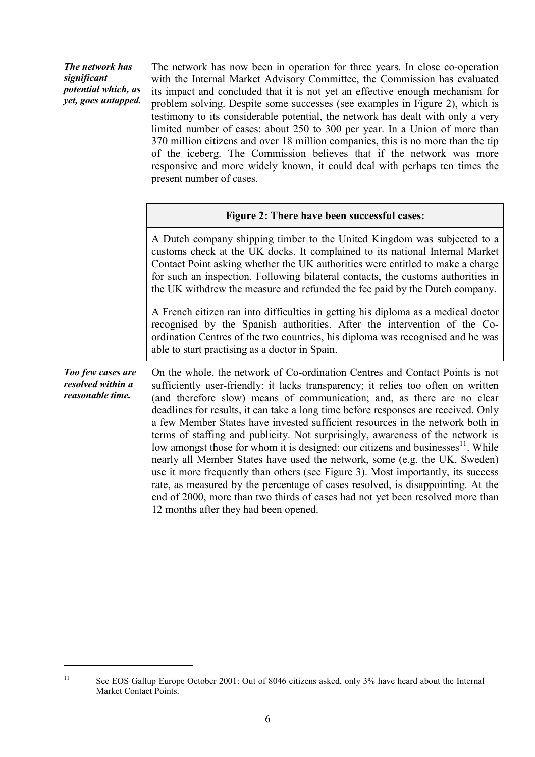*The network has significant potential which, as yet, goes untapped.*

 $\overline{a}$ 

The network has now been in operation for three years. In close co-operation with the Internal Market Advisory Committee, the Commission has evaluated its impact and concluded that it is not yet an effective enough mechanism for problem solving. Despite some successes (see examples in Figure 2), which is testimony to its considerable potential, the network has dealt with only a very limited number of cases: about 250 to 300 per year. In a Union of more than 370 million citizens and over 18 million companies, this is no more than the tip of the iceberg. The Commission believes that if the network was more responsive and more widely known, it could deal with perhaps ten times the present number of cases.

|  |  | Figure 2: There have been successful cases: |  |
|--|--|---------------------------------------------|--|
|  |  |                                             |  |

A Dutch company shipping timber to the United Kingdom was subjected to a customs check at the UK docks. It complained to its national Internal Market Contact Point asking whether the UK authorities were entitled to make a charge for such an inspection. Following bilateral contacts, the customs authorities in the UK withdrew the measure and refunded the fee paid by the Dutch company.

A French citizen ran into difficulties in getting his diploma as a medical doctor recognised by the Spanish authorities. After the intervention of the Coordination Centres of the two countries, his diploma was recognised and he was able to start practising as a doctor in Spain.

*Too few cases are resolved within a reasonable time.* On the whole, the network of Co-ordination Centres and Contact Points is not sufficiently user-friendly: it lacks transparency; it relies too often on written (and therefore slow) means of communication; and, as there are no clear deadlines for results, it can take a long time before responses are received. Only a few Member States have invested sufficient resources in the network both in terms of staffing and publicity. Not surprisingly, awareness of the network is low amongst those for whom it is designed: our citizens and businesses $11$ . While nearly all Member States have used the network, some (e.g. the UK, Sweden) use it more frequently than others (see Figure 3). Most importantly, its success rate, as measured by the percentage of cases resolved, is disappointing. At the end of 2000, more than two thirds of cases had not yet been resolved more than 12 months after they had been opened.

<sup>&</sup>lt;sup>11</sup> See EOS Gallup Europe October 2001: Out of 8046 citizens asked, only 3% have heard about the Internal Market Contact Points.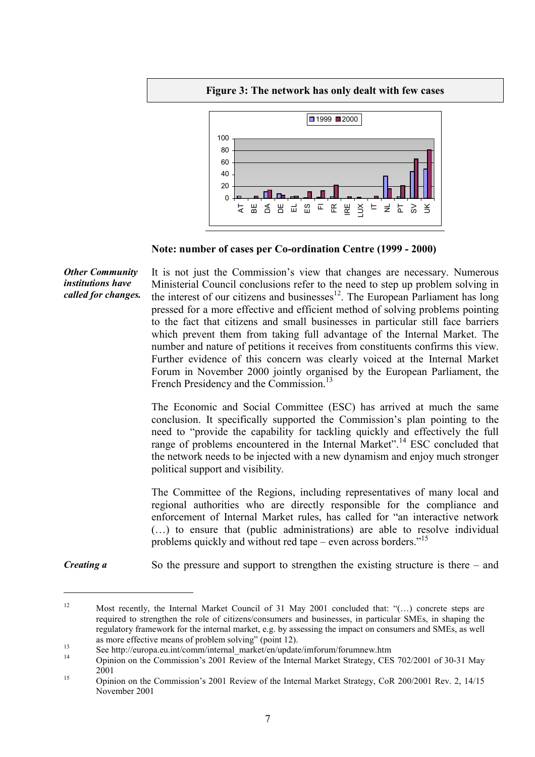**Figure 3: The network has only dealt with few cases**



**Note: number of cases per Co-ordination Centre (1999 - 2000)**

*Other Community institutions have called for changes.* It is not just the Commission's view that changes are necessary. Numerous Ministerial Council conclusions refer to the need to step up problem solving in the interest of our citizens and businesses $12$ . The European Parliament has long pressed for a more effective and efficient method of solving problems pointing to the fact that citizens and small businesses in particular still face barriers which prevent them from taking full advantage of the Internal Market. The number and nature of petitions it receives from constituents confirms this view. Further evidence of this concern was clearly voiced at the Internal Market Forum in November 2000 jointly organised by the European Parliament, the French Presidency and the Commission.<sup>13</sup>

> The Economic and Social Committee (ESC) has arrived at much the same conclusion. It specifically supported the Commission's plan pointing to the need to "provide the capability for tackling quickly and effectively the full range of problems encountered in the Internal Market".<sup>14</sup> ESC concluded that the network needs to be injected with a new dynamism and enjoy much stronger political support and visibility.

> The Committee of the Regions, including representatives of many local and regional authorities who are directly responsible for the compliance and enforcement of Internal Market rules, has called for "an interactive network (…) to ensure that (public administrations) are able to resolve individual problems quickly and without red tape – even across borders."<sup>15</sup>

*Creating a* So the pressure and support to strengthen the existing structure is there – and

 $\overline{a}$ 

<sup>12</sup> Most recently, the Internal Market Council of 31 May 2001 concluded that: "(…) concrete steps are required to strengthen the role of citizens/consumers and businesses, in particular SMEs, in shaping the regulatory framework for the internal market, e.g. by assessing the impact on consumers and SMEs, as well

as more effective means of problem solving" (point 12).<br>
See http://europa.eu.int/comm/internal\_market/en/update/imforum/forumnew.htm<br>
Opinion on the Commission's 2001 Review of the Internal Market Strategy, CES 702/2001 o <sup>15</sup> <sup>2001</sup> Opinion on the Commission's 2001 Review of the Internal Market Strategy, CoR 200/2001 Rev. 2, 14/15

November 2001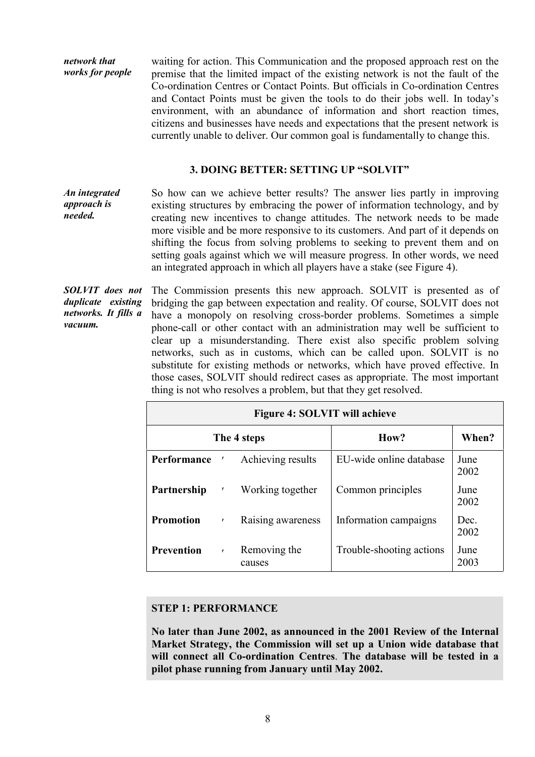*network that works for people* waiting for action. This Communication and the proposed approach rest on the premise that the limited impact of the existing network is not the fault of the Co-ordination Centres or Contact Points. But officials in Co-ordination Centres and Contact Points must be given the tools to do their jobs well. In today's environment, with an abundance of information and short reaction times, citizens and businesses have needs and expectations that the present network is currently unable to deliver. Our common goal is fundamentally to change this.

#### **3. DOING BETTER: SETTING UP "SOLVIT"**

*An integrated approach is needed.* So how can we achieve better results? The answer lies partly in improving existing structures by embracing the power of information technology, and by creating new incentives to change attitudes. The network needs to be made more visible and be more responsive to its customers. And part of it depends on shifting the focus from solving problems to seeking to prevent them and on setting goals against which we will measure progress. In other words, we need an integrated approach in which all players have a stake (see Figure 4).

*SOLVIT does not duplicate existing networks. It fills a vacuum.* The Commission presents this new approach. SOLVIT is presented as of bridging the gap between expectation and reality. Of course, SOLVIT does not have a monopoly on resolving cross-border problems. Sometimes a simple phone-call or other contact with an administration may well be sufficient to clear up a misunderstanding. There exist also specific problem solving networks, such as in customs, which can be called upon. SOLVIT is no substitute for existing methods or networks, which have proved effective. In those cases, SOLVIT should redirect cases as appropriate. The most important thing is not who resolves a problem, but that they get resolved.

|                   | Figure 4: SOLVIT will achieve |                        |                          |              |  |  |  |  |  |
|-------------------|-------------------------------|------------------------|--------------------------|--------------|--|--|--|--|--|
|                   |                               | The 4 steps            | How?                     | When?        |  |  |  |  |  |
| Performance       |                               | Achieving results      | EU-wide online database  | June<br>2002 |  |  |  |  |  |
| Partnership       | $\pmb{r}$                     | Working together       | Common principles        | June<br>2002 |  |  |  |  |  |
| <b>Promotion</b>  | $\pmb{\mathsf{r}}$            | Raising awareness      | Information campaigns    | Dec.<br>2002 |  |  |  |  |  |
| <b>Prevention</b> | $\mathbf{r}$                  | Removing the<br>causes | Trouble-shooting actions | June<br>2003 |  |  |  |  |  |

#### **STEP 1: PERFORMANCE**

**No later than June 2002, as announced in the 2001 Review of the Internal Market Strategy, the Commission will set up a Union wide database that will connect all Co-ordination Centres**. **The database will be tested in a pilot phase running from January until May 2002.**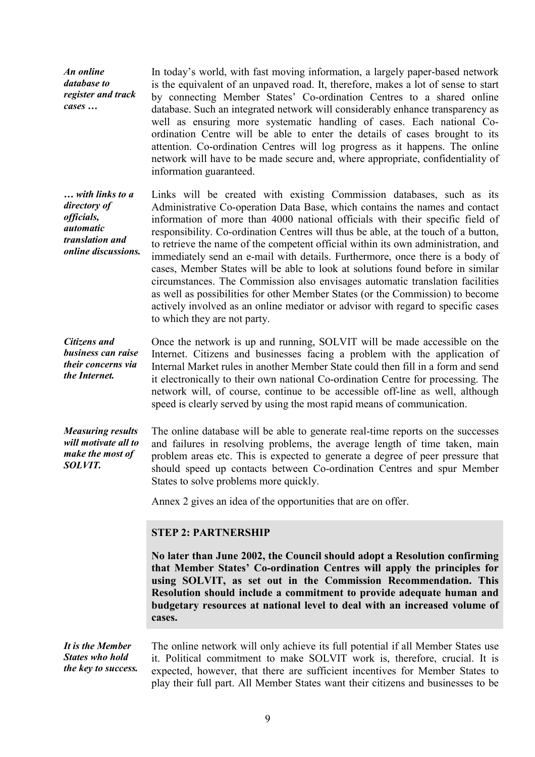*An online database to register and track cases …* In today's world, with fast moving information, a largely paper-based network is the equivalent of an unpaved road. It, therefore, makes a lot of sense to start by connecting Member States' Co-ordination Centres to a shared online database. Such an integrated network will considerably enhance transparency as well as ensuring more systematic handling of cases. Each national Coordination Centre will be able to enter the details of cases brought to its attention. Co-ordination Centres will log progress as it happens. The online network will have to be made secure and, where appropriate, confidentiality of information guaranteed.

*… with links to a directory of officials, automatic translation and online discussions.* Links will be created with existing Commission databases, such as its Administrative Co-operation Data Base, which contains the names and contact information of more than 4000 national officials with their specific field of responsibility. Co-ordination Centres will thus be able, at the touch of a button, to retrieve the name of the competent official within its own administration, and immediately send an e-mail with details. Furthermore, once there is a body of cases, Member States will be able to look at solutions found before in similar circumstances. The Commission also envisages automatic translation facilities as well as possibilities for other Member States (or the Commission) to become actively involved as an online mediator or advisor with regard to specific cases to which they are not party.

*Citizens and business can raise their concerns via the Internet.* Once the network is up and running, SOLVIT will be made accessible on the Internet. Citizens and businesses facing a problem with the application of Internal Market rules in another Member State could then fill in a form and send it electronically to their own national Co-ordination Centre for processing. The network will, of course, continue to be accessible off-line as well, although speed is clearly served by using the most rapid means of communication.

*Measuring results will motivate all to make the most of SOLVIT.* The online database will be able to generate real-time reports on the successes and failures in resolving problems, the average length of time taken, main problem areas etc. This is expected to generate a degree of peer pressure that should speed up contacts between Co-ordination Centres and spur Member States to solve problems more quickly.

Annex 2 gives an idea of the opportunities that are on offer.

#### **STEP 2: PARTNERSHIP**

**No later than June 2002, the Council should adopt a Resolution confirming that Member States' Co-ordination Centres will apply the principles for using SOLVIT, as set out in the Commission Recommendation. This Resolution should include a commitment to provide adequate human and budgetary resources at national level to deal with an increased volume of cases.**

*It is the Member States who hold the key to success.* The online network will only achieve its full potential if all Member States use it. Political commitment to make SOLVIT work is, therefore, crucial. It is expected, however, that there are sufficient incentives for Member States to play their full part. All Member States want their citizens and businesses to be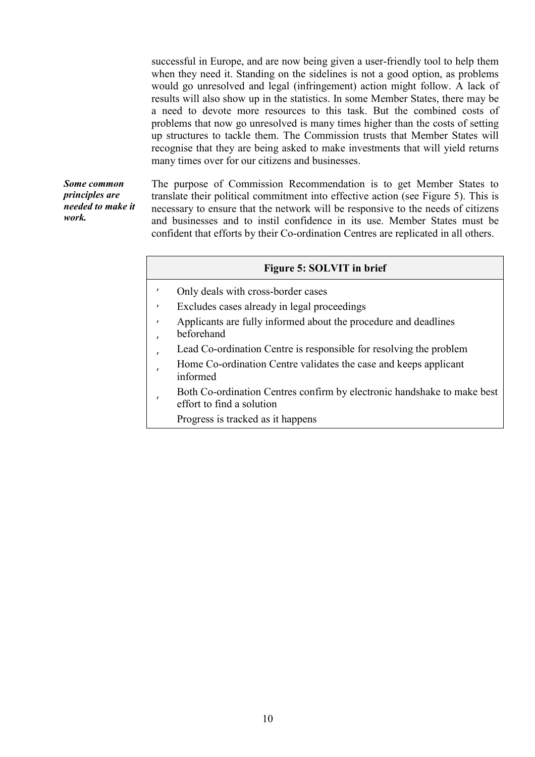successful in Europe, and are now being given a user-friendly tool to help them when they need it. Standing on the sidelines is not a good option, as problems would go unresolved and legal (infringement) action might follow. A lack of results will also show up in the statistics. In some Member States, there may be a need to devote more resources to this task. But the combined costs of problems that now go unresolved is many times higher than the costs of setting up structures to tackle them. The Commission trusts that Member States will recognise that they are being asked to make investments that will yield returns many times over for our citizens and businesses.

*Some common principles are needed to make it work.*

The purpose of Commission Recommendation is to get Member States to translate their political commitment into effective action (see Figure 5). This is necessary to ensure that the network will be responsive to the needs of citizens and businesses and to instil confidence in its use. Member States must be confident that efforts by their Co-ordination Centres are replicated in all others.

#### **Figure 5: SOLVIT in brief**

- $\overline{\phantom{a}}$ Only deals with cross-border cases
- $\overline{\phantom{a}}$ Excludes cases already in legal proceedings
- $\overline{\phantom{a}}$ Applicants are fully informed about the procedure and deadlines
- $\overline{\phantom{a}}$ beforehand
- $\overline{\phantom{a}}$ Lead Co-ordination Centre is responsible for resolving the problem
- $\overline{\phantom{a}}$ Home Co-ordination Centre validates the case and keeps applicant informed
- $\overline{\phantom{a}}$ Both Co-ordination Centres confirm by electronic handshake to make best effort to find a solution
	- Progress is tracked as it happens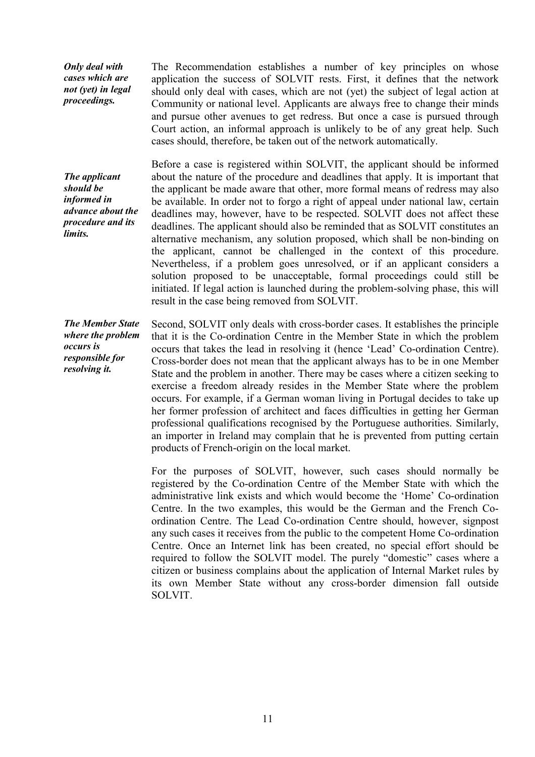*Only deal with cases which are not (yet) in legal proceedings.*

The Recommendation establishes a number of key principles on whose application the success of SOLVIT rests. First, it defines that the network should only deal with cases, which are not (yet) the subject of legal action at Community or national level. Applicants are always free to change their minds and pursue other avenues to get redress. But once a case is pursued through Court action, an informal approach is unlikely to be of any great help. Such cases should, therefore, be taken out of the network automatically.

*The applicant should be informed in advance about the procedure and its limits.*

Before a case is registered within SOLVIT, the applicant should be informed about the nature of the procedure and deadlines that apply. It is important that the applicant be made aware that other, more formal means of redress may also be available. In order not to forgo a right of appeal under national law, certain deadlines may, however, have to be respected. SOLVIT does not affect these deadlines. The applicant should also be reminded that as SOLVIT constitutes an alternative mechanism, any solution proposed, which shall be non-binding on the applicant, cannot be challenged in the context of this procedure. Nevertheless, if a problem goes unresolved, or if an applicant considers a solution proposed to be unacceptable, formal proceedings could still be initiated. If legal action is launched during the problem-solving phase, this will result in the case being removed from SOLVIT.

*The Member State where the problem occurs is responsible for resolving it.* Second, SOLVIT only deals with cross-border cases. It establishes the principle that it is the Co-ordination Centre in the Member State in which the problem occurs that takes the lead in resolving it (hence 'Lead' Co-ordination Centre). Cross-border does not mean that the applicant always has to be in one Member State and the problem in another. There may be cases where a citizen seeking to exercise a freedom already resides in the Member State where the problem occurs. For example, if a German woman living in Portugal decides to take up her former profession of architect and faces difficulties in getting her German professional qualifications recognised by the Portuguese authorities. Similarly, an importer in Ireland may complain that he is prevented from putting certain products of French-origin on the local market.

> For the purposes of SOLVIT, however, such cases should normally be registered by the Co-ordination Centre of the Member State with which the administrative link exists and which would become the 'Home' Co-ordination Centre. In the two examples, this would be the German and the French Coordination Centre. The Lead Co-ordination Centre should, however, signpost any such cases it receives from the public to the competent Home Co-ordination Centre. Once an Internet link has been created, no special effort should be required to follow the SOLVIT model. The purely "domestic" cases where a citizen or business complains about the application of Internal Market rules by its own Member State without any cross-border dimension fall outside SOLVIT.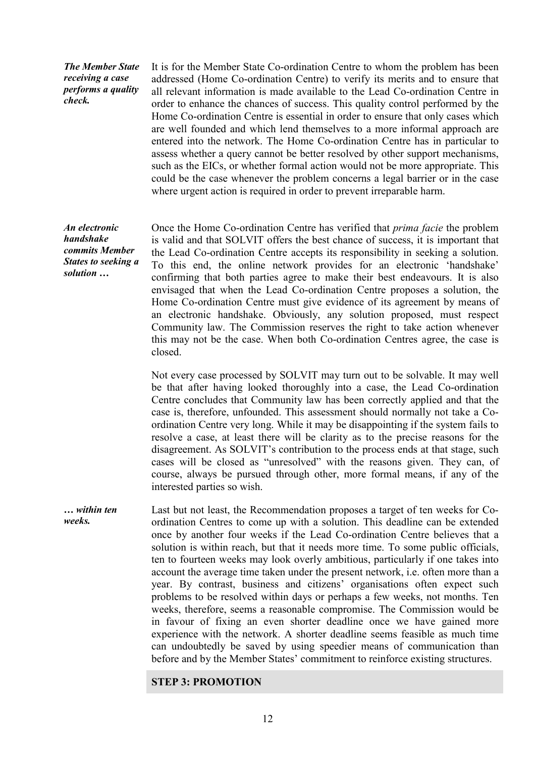*The Member State receiving a case performs a quality check.*

It is for the Member State Co-ordination Centre to whom the problem has been addressed (Home Co-ordination Centre) to verify its merits and to ensure that all relevant information is made available to the Lead Co-ordination Centre in order to enhance the chances of success. This quality control performed by the Home Co-ordination Centre is essential in order to ensure that only cases which are well founded and which lend themselves to a more informal approach are entered into the network. The Home Co-ordination Centre has in particular to assess whether a query cannot be better resolved by other support mechanisms, such as the EICs, or whether formal action would not be more appropriate. This could be the case whenever the problem concerns a legal barrier or in the case where urgent action is required in order to prevent irreparable harm.

*An electronic handshake commits Member States to seeking a solution …*

Once the Home Co-ordination Centre has verified that *prima facie* the problem is valid and that SOLVIT offers the best chance of success, it is important that the Lead Co-ordination Centre accepts its responsibility in seeking a solution. To this end, the online network provides for an electronic 'handshake' confirming that both parties agree to make their best endeavours. It is also envisaged that when the Lead Co-ordination Centre proposes a solution, the Home Co-ordination Centre must give evidence of its agreement by means of an electronic handshake. Obviously, any solution proposed, must respect Community law. The Commission reserves the right to take action whenever this may not be the case. When both Co-ordination Centres agree, the case is closed.

Not every case processed by SOLVIT may turn out to be solvable. It may well be that after having looked thoroughly into a case, the Lead Co-ordination Centre concludes that Community law has been correctly applied and that the case is, therefore, unfounded. This assessment should normally not take a Coordination Centre very long. While it may be disappointing if the system fails to resolve a case, at least there will be clarity as to the precise reasons for the disagreement. As SOLVIT's contribution to the process ends at that stage, such cases will be closed as "unresolved" with the reasons given. They can, of course, always be pursued through other, more formal means, if any of the interested parties so wish.

*… within ten weeks.* Last but not least, the Recommendation proposes a target of ten weeks for Coordination Centres to come up with a solution. This deadline can be extended once by another four weeks if the Lead Co-ordination Centre believes that a solution is within reach, but that it needs more time. To some public officials, ten to fourteen weeks may look overly ambitious, particularly if one takes into account the average time taken under the present network, i.e. often more than a year. By contrast, business and citizens' organisations often expect such problems to be resolved within days or perhaps a few weeks, not months. Ten weeks, therefore, seems a reasonable compromise. The Commission would be in favour of fixing an even shorter deadline once we have gained more experience with the network. A shorter deadline seems feasible as much time can undoubtedly be saved by using speedier means of communication than before and by the Member States' commitment to reinforce existing structures.

#### **STEP 3: PROMOTION**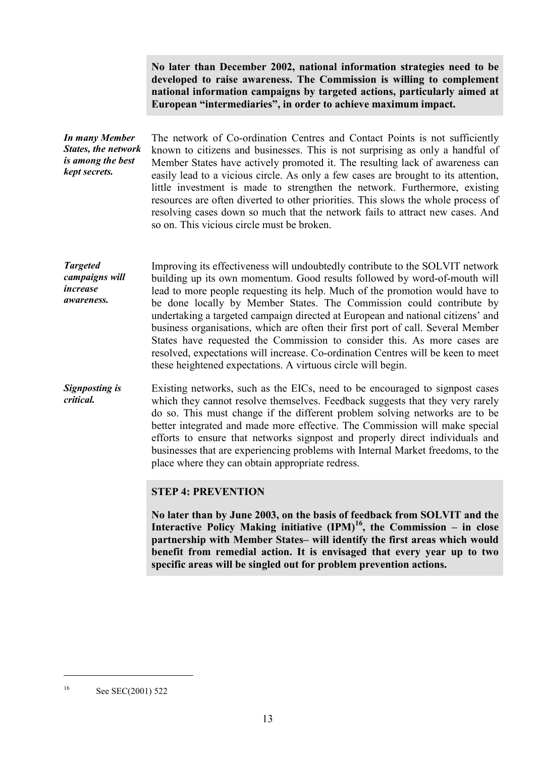**No later than December 2002, national information strategies need to be developed to raise awareness. The Commission is willing to complement national information campaigns by targeted actions, particularly aimed at European "intermediaries", in order to achieve maximum impact.**

*In many Member States, the network is among the best kept secrets.* The network of Co-ordination Centres and Contact Points is not sufficiently known to citizens and businesses. This is not surprising as only a handful of Member States have actively promoted it. The resulting lack of awareness can easily lead to a vicious circle. As only a few cases are brought to its attention, little investment is made to strengthen the network. Furthermore, existing resources are often diverted to other priorities. This slows the whole process of resolving cases down so much that the network fails to attract new cases. And so on. This vicious circle must be broken.

*Targeted campaigns will increase awareness.* Improving its effectiveness will undoubtedly contribute to the SOLVIT network building up its own momentum. Good results followed by word-of-mouth will lead to more people requesting its help. Much of the promotion would have to be done locally by Member States. The Commission could contribute by undertaking a targeted campaign directed at European and national citizens' and business organisations, which are often their first port of call. Several Member States have requested the Commission to consider this. As more cases are resolved, expectations will increase. Co-ordination Centres will be keen to meet these heightened expectations. A virtuous circle will begin.

*Signposting is critical.* Existing networks, such as the EICs, need to be encouraged to signpost cases which they cannot resolve themselves. Feedback suggests that they very rarely do so. This must change if the different problem solving networks are to be better integrated and made more effective. The Commission will make special efforts to ensure that networks signpost and properly direct individuals and businesses that are experiencing problems with Internal Market freedoms, to the place where they can obtain appropriate redress.

**STEP 4: PREVENTION**

**No later than by June 2003, on the basis of feedback from SOLVIT and the Interactive Policy Making initiative (IPM)16, the Commission – in close partnership with Member States– will identify the first areas which would benefit from remedial action. It is envisaged that every year up to two specific areas will be singled out for problem prevention actions.**

 $\overline{a}$ 

<sup>16</sup> See SEC(2001) 522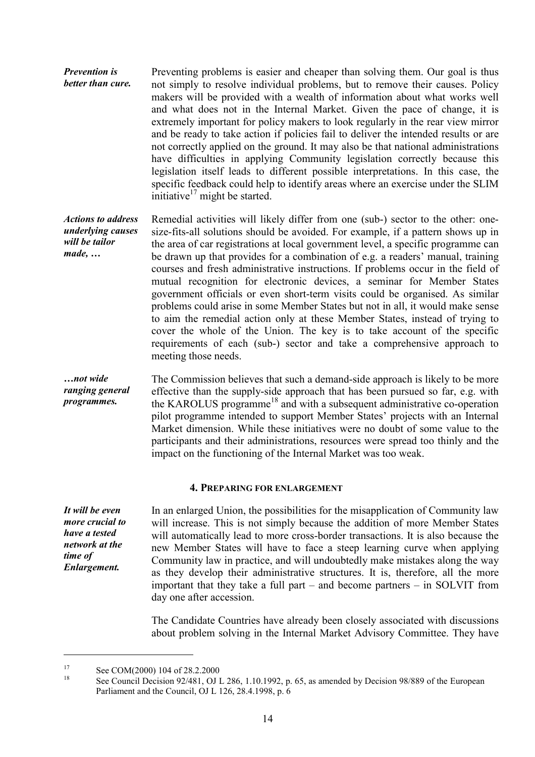*Prevention is better than cure.* Preventing problems is easier and cheaper than solving them. Our goal is thus not simply to resolve individual problems, but to remove their causes. Policy makers will be provided with a wealth of information about what works well and what does not in the Internal Market. Given the pace of change, it is extremely important for policy makers to look regularly in the rear view mirror and be ready to take action if policies fail to deliver the intended results or are not correctly applied on the ground. It may also be that national administrations have difficulties in applying Community legislation correctly because this legislation itself leads to different possible interpretations. In this case, the specific feedback could help to identify areas where an exercise under the SLIM initiative $17$  might be started.

*Actions to address underlying causes will be tailor made, …* Remedial activities will likely differ from one (sub-) sector to the other: onesize-fits-all solutions should be avoided. For example, if a pattern shows up in the area of car registrations at local government level, a specific programme can be drawn up that provides for a combination of e.g. a readers' manual, training courses and fresh administrative instructions. If problems occur in the field of mutual recognition for electronic devices, a seminar for Member States government officials or even short-term visits could be organised. As similar problems could arise in some Member States but not in all, it would make sense to aim the remedial action only at these Member States, instead of trying to cover the whole of the Union. The key is to take account of the specific requirements of each (sub-) sector and take a comprehensive approach to meeting those needs.

*…not wide ranging general programmes.* The Commission believes that such a demand-side approach is likely to be more effective than the supply-side approach that has been pursued so far, e.g. with the KAROLUS programme<sup>18</sup> and with a subsequent administrative co-operation pilot programme intended to support Member States' projects with an Internal Market dimension. While these initiatives were no doubt of some value to the participants and their administrations, resources were spread too thinly and the impact on the functioning of the Internal Market was too weak.

#### **4. PREPARING FOR ENLARGEMENT**

*It will be even more crucial to have a tested network at the time of Enlargement.*

 $\overline{a}$ 

In an enlarged Union, the possibilities for the misapplication of Community law will increase. This is not simply because the addition of more Member States will automatically lead to more cross-border transactions. It is also because the new Member States will have to face a steep learning curve when applying Community law in practice, and will undoubtedly make mistakes along the way as they develop their administrative structures. It is, therefore, all the more important that they take a full part – and become partners – in SOLVIT from day one after accession.

The Candidate Countries have already been closely associated with discussions about problem solving in the Internal Market Advisory Committee. They have

<sup>&</sup>lt;sup>17</sup> See COM(2000) 104 of 28.2.2000<br><sup>18</sup> See Council Decision 92/481, OJ L 286, 1.10.1992, p. 65, as amended by Decision 98/889 of the European Parliament and the Council, OJ L 126, 28.4.1998, p. 6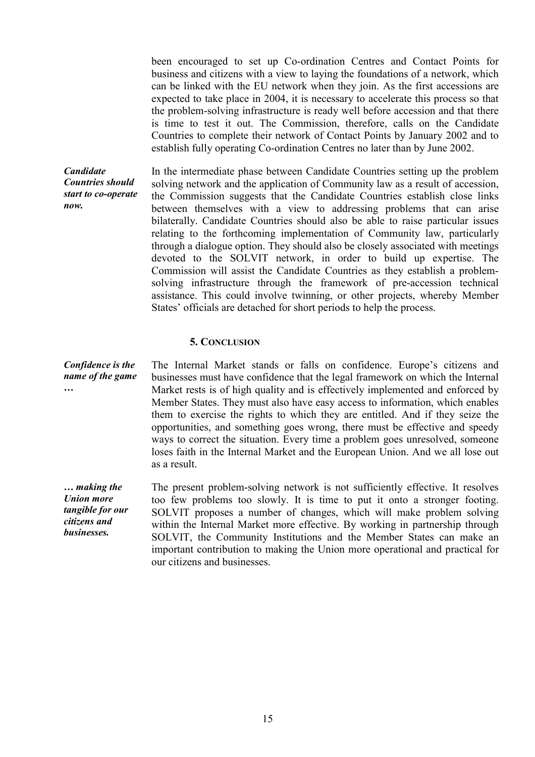been encouraged to set up Co-ordination Centres and Contact Points for business and citizens with a view to laying the foundations of a network, which can be linked with the EU network when they join. As the first accessions are expected to take place in 2004, it is necessary to accelerate this process so that the problem-solving infrastructure is ready well before accession and that there is time to test it out. The Commission, therefore, calls on the Candidate Countries to complete their network of Contact Points by January 2002 and to establish fully operating Co-ordination Centres no later than by June 2002.

*Candidate Countries should start to co-operate now.* In the intermediate phase between Candidate Countries setting up the problem solving network and the application of Community law as a result of accession, the Commission suggests that the Candidate Countries establish close links between themselves with a view to addressing problems that can arise bilaterally. Candidate Countries should also be able to raise particular issues relating to the forthcoming implementation of Community law, particularly through a dialogue option. They should also be closely associated with meetings devoted to the SOLVIT network, in order to build up expertise. The Commission will assist the Candidate Countries as they establish a problemsolving infrastructure through the framework of pre-accession technical assistance. This could involve twinning, or other projects, whereby Member States' officials are detached for short periods to help the process.

#### **5. CONCLUSION**

*Confidence is the name of the game …* The Internal Market stands or falls on confidence. Europe's citizens and businesses must have confidence that the legal framework on which the Internal Market rests is of high quality and is effectively implemented and enforced by Member States. They must also have easy access to information, which enables them to exercise the rights to which they are entitled. And if they seize the opportunities, and something goes wrong, there must be effective and speedy ways to correct the situation. Every time a problem goes unresolved, someone loses faith in the Internal Market and the European Union. And we all lose out as a result.

*… making the Union more tangible for our citizens and businesses.* The present problem-solving network is not sufficiently effective. It resolves too few problems too slowly. It is time to put it onto a stronger footing. SOLVIT proposes a number of changes, which will make problem solving within the Internal Market more effective. By working in partnership through SOLVIT, the Community Institutions and the Member States can make an important contribution to making the Union more operational and practical for our citizens and businesses.

15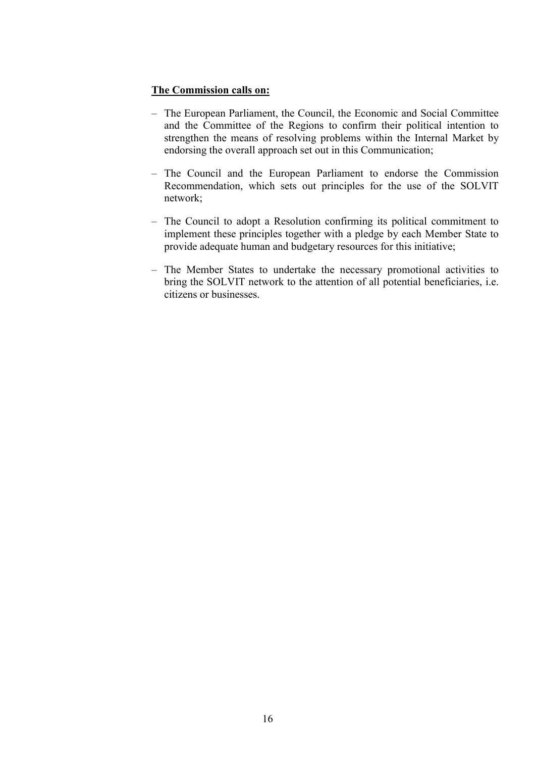#### **The Commission calls on:**

- The European Parliament, the Council, the Economic and Social Committee and the Committee of the Regions to confirm their political intention to strengthen the means of resolving problems within the Internal Market by endorsing the overall approach set out in this Communication;
- The Council and the European Parliament to endorse the Commission Recommendation, which sets out principles for the use of the SOLVIT network;
- The Council to adopt a Resolution confirming its political commitment to implement these principles together with a pledge by each Member State to provide adequate human and budgetary resources for this initiative;
- The Member States to undertake the necessary promotional activities to bring the SOLVIT network to the attention of all potential beneficiaries, i.e. citizens or businesses.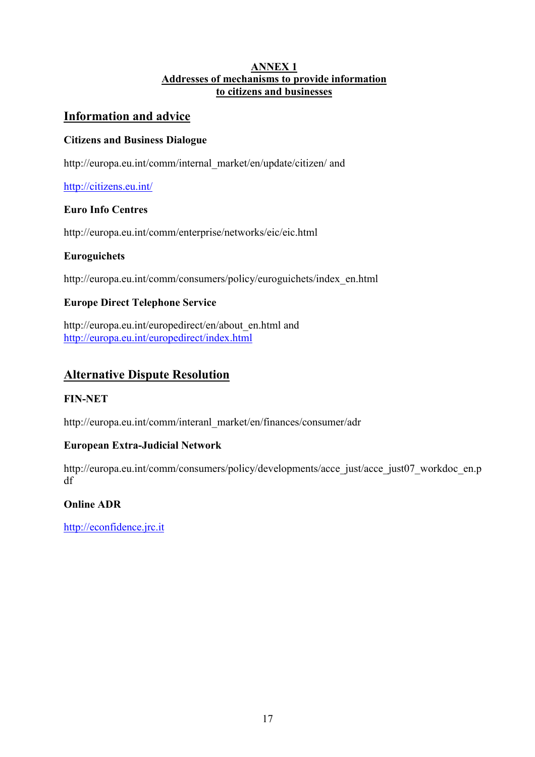## **ANNEX 1 Addresses of mechanisms to provide information to citizens and businesses**

# **Information and advice**

# **Citizens and Business Dialogue**

http://europa.eu.int/comm/internal\_market/en/update/citizen/ and

# http://citizens.eu.int/

## **Euro Info Centres**

http://europa.eu.int/comm/enterprise/networks/eic/eic.html

# **Euroguichets**

http://europa.eu.int/comm/consumers/policy/euroguichets/index\_en.html

# **Europe Direct Telephone Service**

http://europa.eu.int/europedirect/en/about\_en.html and http://europa.eu.int/europedirect/index.html

# **Alternative Dispute Resolution**

## **FIN-NET**

http://europa.eu.int/comm/interanl\_market/en/finances/consumer/adr

## **European Extra-Judicial Network**

http://europa.eu.int/comm/consumers/policy/developments/acce\_just/acce\_just07\_workdoc\_en.p df

# **Online ADR**

http://econfidence.jrc.it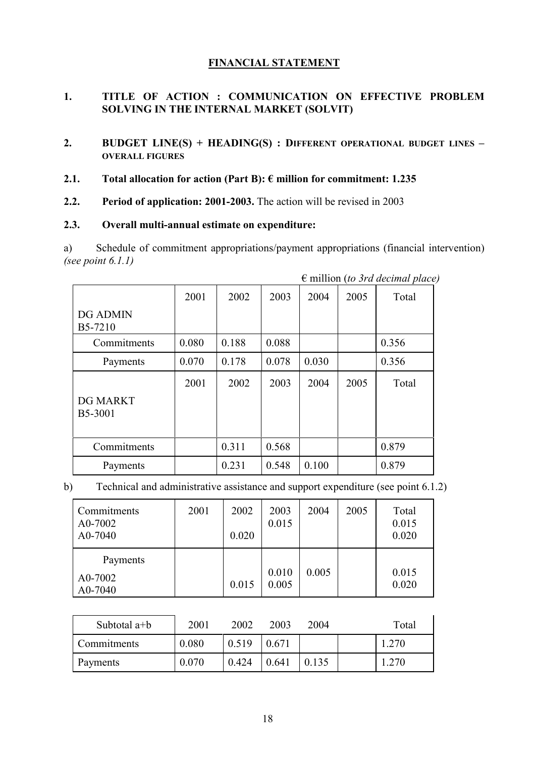## **FINANCIAL STATEMENT**

## **1. TITLE OF ACTION : COMMUNICATION ON EFFECTIVE PROBLEM SOLVING IN THE INTERNAL MARKET (SOLVIT)**

- **2. BUDGET LINE(S) + HEADING(S) : DIFFERENT OPERATIONAL BUDGET LINES – OVERALL FIGURES**
- **2.1. Total allocation for action (Part B): € million for commitment: 1.235**
- **2.2. Period of application: 2001-2003.** The action will be revised in 2003

#### **2.3. Overall multi-annual estimate on expenditure:**

a) Schedule of commitment appropriations/payment appropriations (financial intervention) *(see point 6.1.1)*

|                            |       |       |       |       |      | $\sigma$ minion (to $\sigma$ ) a accurate place |
|----------------------------|-------|-------|-------|-------|------|-------------------------------------------------|
|                            | 2001  | 2002  | 2003  | 2004  | 2005 | Total                                           |
| <b>DG ADMIN</b><br>B5-7210 |       |       |       |       |      |                                                 |
| Commitments                | 0.080 | 0.188 | 0.088 |       |      | 0.356                                           |
| Payments                   | 0.070 | 0.178 | 0.078 | 0.030 |      | 0.356                                           |
| <b>DG MARKT</b><br>B5-3001 | 2001  | 2002  | 2003  | 2004  | 2005 | Total                                           |
| Commitments                |       | 0.311 | 0.568 |       |      | 0.879                                           |
| Payments                   |       | 0.231 | 0.548 | 0.100 |      | 0.879                                           |

€ million (*to 3rd decimal place)*

b) Technical and administrative assistance and support expenditure (see point 6.1.2)

| Commitments<br>A0-7002<br>A0-7040 | 2001 | 2002<br>0.020 | 2003<br>0.015  | 2004  | 2005 | Total<br>0.015<br>0.020 |
|-----------------------------------|------|---------------|----------------|-------|------|-------------------------|
| Payments<br>A0-7002<br>A0-7040    |      | 0.015         | 0.010<br>0.005 | 0.005 |      | 0.015<br>0.020          |

| Subtotal a+b       | 2001  | 2002  | 2003  | 2004  | Total |
|--------------------|-------|-------|-------|-------|-------|
| <b>Commitments</b> | 0.080 | 0.519 | 0.671 |       | 1.270 |
| Payments           | 0.070 | 0.424 | 0.641 | 0.135 | 1.270 |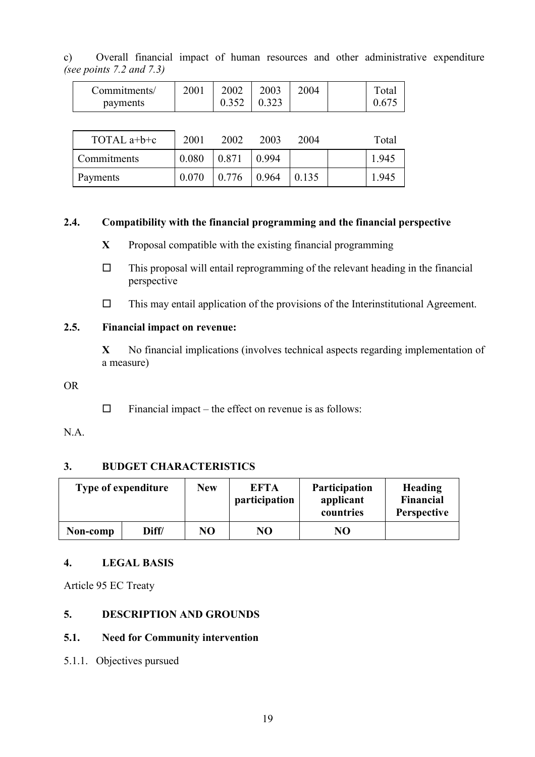| $\circ$ ) |                               |  |  |  | Overall financial impact of human resources and other administrative expenditure |  |
|-----------|-------------------------------|--|--|--|----------------------------------------------------------------------------------|--|
|           | (see points $7.2$ and $7.3$ ) |  |  |  |                                                                                  |  |

| Commitments/<br>payments | 2001  | 2002<br>0.352 | 2003<br>0.323 | 2004 | Total<br>0.675 |
|--------------------------|-------|---------------|---------------|------|----------------|
|                          |       |               |               |      |                |
| TOTAL a+b+c              | 2001  | 2002          | 2003          | 2004 | Total          |
| Commitments              | 0.080 | 0.871         | 0.994         |      | 1.945          |

Payments 0.070 0.776 0.964 0.135 1.945

#### **2.4. Compatibility with the financial programming and the financial perspective**

- **X** Proposal compatible with the existing financial programming
- $\Box$  This proposal will entail reprogramming of the relevant heading in the financial perspective
- $\Box$  This may entail application of the provisions of the Interinstitutional Agreement.

## **2.5. Financial impact on revenue:**

**X** No financial implications (involves technical aspects regarding implementation of a measure)

#### OR

 $\Box$  Financial impact – the effect on revenue is as follows:

# N.A.

## **3. BUDGET CHARACTERISTICS**

| Type of expenditure |       | <b>New</b> | <b>EFTA</b><br>participation | <b>Participation</b><br>applicant<br>countries | Heading<br>Financial<br><b>Perspective</b> |
|---------------------|-------|------------|------------------------------|------------------------------------------------|--------------------------------------------|
| Non-comp            | Diff/ | NO         | NO                           | NO                                             |                                            |

## **4. LEGAL BASIS**

Article 95 EC Treaty

## **5. DESCRIPTION AND GROUNDS**

#### **5.1. Need for Community intervention**

5.1.1. Objectives pursued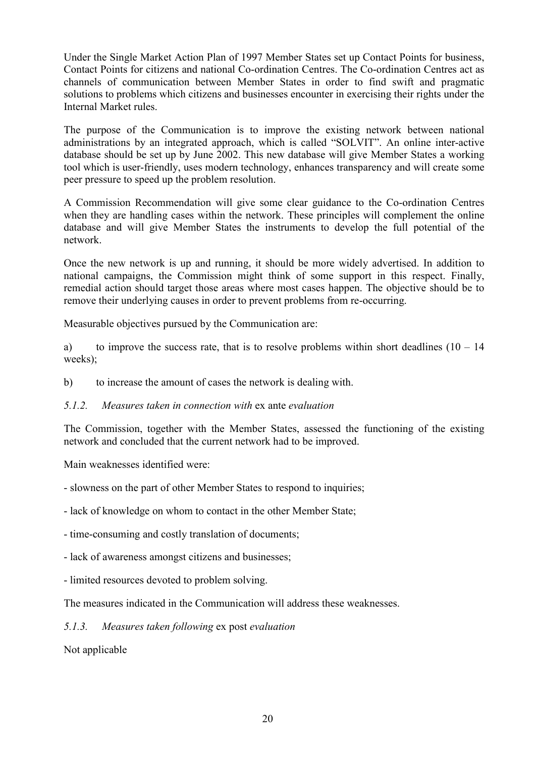Under the Single Market Action Plan of 1997 Member States set up Contact Points for business, Contact Points for citizens and national Co-ordination Centres. The Co-ordination Centres act as channels of communication between Member States in order to find swift and pragmatic solutions to problems which citizens and businesses encounter in exercising their rights under the Internal Market rules.

The purpose of the Communication is to improve the existing network between national administrations by an integrated approach, which is called "SOLVIT". An online inter-active database should be set up by June 2002. This new database will give Member States a working tool which is user-friendly, uses modern technology, enhances transparency and will create some peer pressure to speed up the problem resolution.

A Commission Recommendation will give some clear guidance to the Co-ordination Centres when they are handling cases within the network. These principles will complement the online database and will give Member States the instruments to develop the full potential of the network.

Once the new network is up and running, it should be more widely advertised. In addition to national campaigns, the Commission might think of some support in this respect. Finally, remedial action should target those areas where most cases happen. The objective should be to remove their underlying causes in order to prevent problems from re-occurring.

Measurable objectives pursued by the Communication are:

a) to improve the success rate, that is to resolve problems within short deadlines  $(10 - 14)$ weeks);

- b) to increase the amount of cases the network is dealing with.
- *5.1.2. Measures taken in connection with* ex ante *evaluation*

The Commission, together with the Member States, assessed the functioning of the existing network and concluded that the current network had to be improved.

Main weaknesses identified were:

- slowness on the part of other Member States to respond to inquiries;
- lack of knowledge on whom to contact in the other Member State;
- time-consuming and costly translation of documents;
- lack of awareness amongst citizens and businesses;
- limited resources devoted to problem solving.

The measures indicated in the Communication will address these weaknesses.

#### *5.1.3. Measures taken following* ex post *evaluation*

Not applicable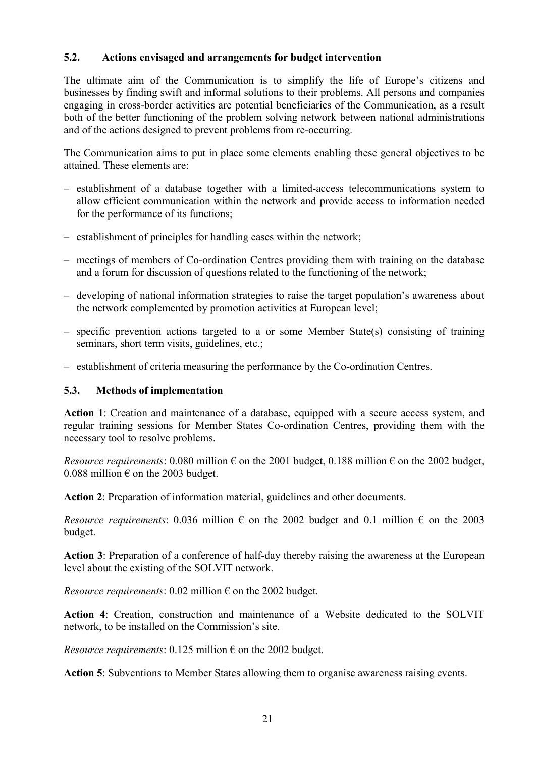## **5.2. Actions envisaged and arrangements for budget intervention**

The ultimate aim of the Communication is to simplify the life of Europe's citizens and businesses by finding swift and informal solutions to their problems. All persons and companies engaging in cross-border activities are potential beneficiaries of the Communication, as a result both of the better functioning of the problem solving network between national administrations and of the actions designed to prevent problems from re-occurring.

The Communication aims to put in place some elements enabling these general objectives to be attained. These elements are:

- establishment of a database together with a limited-access telecommunications system to allow efficient communication within the network and provide access to information needed for the performance of its functions;
- establishment of principles for handling cases within the network;
- meetings of members of Co-ordination Centres providing them with training on the database and a forum for discussion of questions related to the functioning of the network;
- developing of national information strategies to raise the target population's awareness about the network complemented by promotion activities at European level;
- specific prevention actions targeted to a or some Member State(s) consisting of training seminars, short term visits, guidelines, etc.;
- establishment of criteria measuring the performance by the Co-ordination Centres.

## **5.3. Methods of implementation**

**Action 1**: Creation and maintenance of a database, equipped with a secure access system, and regular training sessions for Member States Co-ordination Centres, providing them with the necessary tool to resolve problems.

*Resource requirements*: 0.080 million  $\epsilon$  on the 2001 budget, 0.188 million  $\epsilon$  on the 2002 budget, 0.088 million  $\epsilon$  on the 2003 budget.

**Action 2**: Preparation of information material, guidelines and other documents.

*Resource requirements*: 0.036 million  $\epsilon$  on the 2002 budget and 0.1 million  $\epsilon$  on the 2003 budget.

**Action 3**: Preparation of a conference of half-day thereby raising the awareness at the European level about the existing of the SOLVIT network.

*Resource requirements*: 0.02 million  $\epsilon$  on the 2002 budget.

**Action 4**: Creation, construction and maintenance of a Website dedicated to the SOLVIT network, to be installed on the Commission's site.

*Resource requirements*: 0.125 million  $\epsilon$  on the 2002 budget.

**Action 5**: Subventions to Member States allowing them to organise awareness raising events.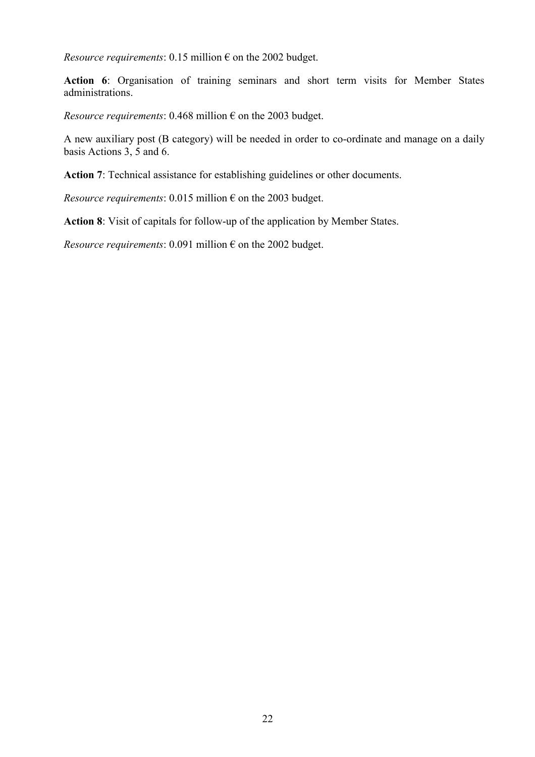*Resource requirements*: 0.15 million  $\epsilon$  on the 2002 budget.

**Action 6**: Organisation of training seminars and short term visits for Member States administrations.

*Resource requirements*: 0.468 million  $\epsilon$  on the 2003 budget.

A new auxiliary post (B category) will be needed in order to co-ordinate and manage on a daily basis Actions 3, 5 and 6.

**Action 7**: Technical assistance for establishing guidelines or other documents.

*Resource requirements:* 0.015 million  $\epsilon$  on the 2003 budget.

**Action 8**: Visit of capitals for follow-up of the application by Member States.

*Resource requirements*: 0.091 million  $\epsilon$  on the 2002 budget.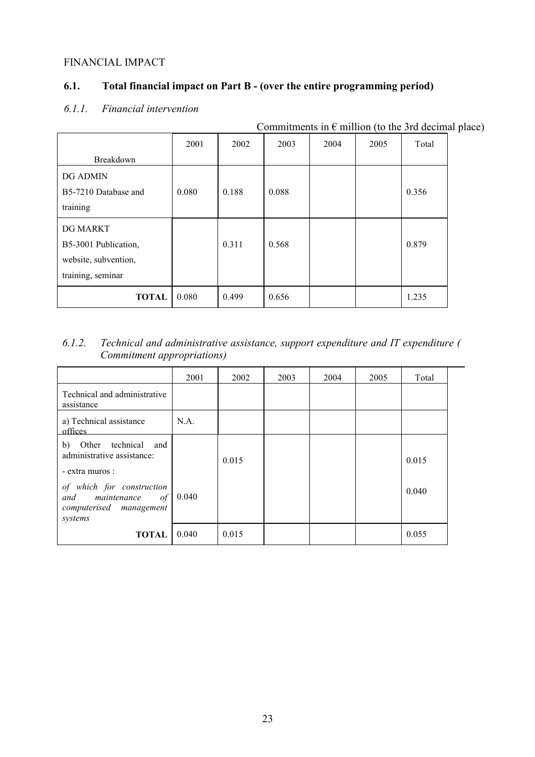#### FINANCIAL IMPACT

# **6.1. Total financial impact on Part B - (over the entire programming period)**

| Commitments in $\epsilon$ million (to the 3rd decimal place) |       |       |       |      |      |       |  |  |  |
|--------------------------------------------------------------|-------|-------|-------|------|------|-------|--|--|--|
|                                                              | 2001  | 2002  | 2003  | 2004 | 2005 | Total |  |  |  |
| Breakdown                                                    |       |       |       |      |      |       |  |  |  |
| <b>DG ADMIN</b>                                              |       |       |       |      |      |       |  |  |  |
| B5-7210 Database and                                         | 0.080 | 0.188 | 0.088 |      |      | 0.356 |  |  |  |
| training                                                     |       |       |       |      |      |       |  |  |  |
| DG MARKT                                                     |       |       |       |      |      |       |  |  |  |
| B5-3001 Publication,                                         |       | 0.311 | 0.568 |      |      | 0.879 |  |  |  |
| website, subvention,                                         |       |       |       |      |      |       |  |  |  |
| training, seminar                                            |       |       |       |      |      |       |  |  |  |
| <b>TOTAL</b>                                                 | 0.080 | 0.499 | 0.656 |      |      | 1.235 |  |  |  |

# *6.1.1. Financial intervention*

# *6.1.2. Technical and administrative assistance, support expenditure and IT expenditure ( Commitment appropriations)*

|                                                                                       | 2001  | 2002  | 2003 | 2004 | 2005 | Total |
|---------------------------------------------------------------------------------------|-------|-------|------|------|------|-------|
| Technical and administrative<br>assistance                                            |       |       |      |      |      |       |
| a) Technical assistance<br>offices                                                    | N.A.  |       |      |      |      |       |
| Other technical<br>b)<br>and<br>administrative assistance:<br>- extra muros :         |       | 0.015 |      |      |      | 0.015 |
| of which for construction<br>and maintenance of<br>computerised management<br>systems | 0.040 |       |      |      |      | 0.040 |
| <b>TOTAL</b>                                                                          | 0.040 | 0.015 |      |      |      | 0.055 |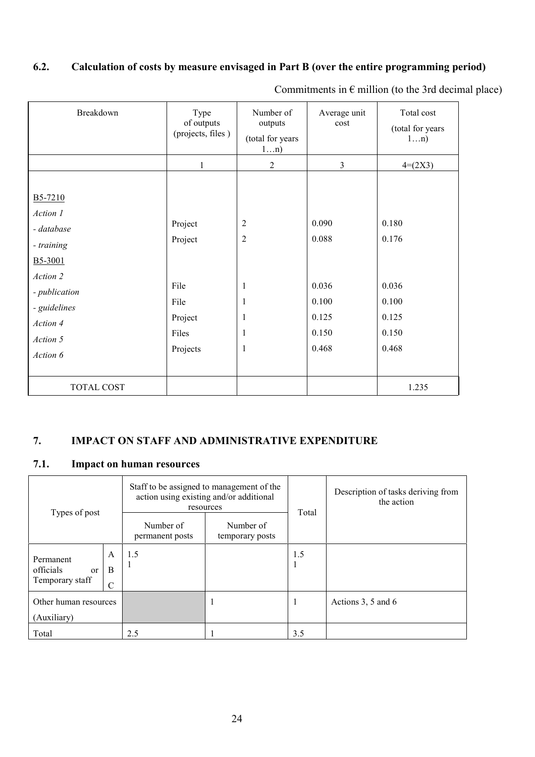# **6.2. Calculation of costs by measure envisaged in Part B (over the entire programming period)**

| Breakdown                                                                     | Type<br>of outputs<br>(projects, files)      | Number of<br>outputs<br>(total for years<br>1n) | Average unit<br>cost                      | Total cost<br>(total for years)<br>1n)    |
|-------------------------------------------------------------------------------|----------------------------------------------|-------------------------------------------------|-------------------------------------------|-------------------------------------------|
|                                                                               | 1                                            | $\overline{2}$                                  | 3                                         | $4=(2X3)$                                 |
|                                                                               |                                              |                                                 |                                           |                                           |
| B5-7210<br>Action 1<br>- database<br>- training<br>B5-3001                    | Project<br>Project                           | $\overline{2}$<br>$\overline{2}$                | 0.090<br>0.088                            | 0.180<br>0.176                            |
| Action 2<br>- publication<br>- guidelines<br>Action 4<br>Action 5<br>Action 6 | File<br>File<br>Project<br>Files<br>Projects | 1<br>1<br>1<br>1<br>$\mathbf{1}$                | 0.036<br>0.100<br>0.125<br>0.150<br>0.468 | 0.036<br>0.100<br>0.125<br>0.150<br>0.468 |
| TOTAL COST                                                                    |                                              |                                                 |                                           | 1.235                                     |

Commitments in  $\epsilon$  million (to the 3rd decimal place)

# **7. IMPACT ON STAFF AND ADMINISTRATIVE EXPENDITURE**

# **7.1. Impact on human resources**

| Types of post                                   |                         | Staff to be assigned to management of the<br>action using existing and/or additional<br>resources |                              | Total | Description of tasks deriving from<br>the action |
|-------------------------------------------------|-------------------------|---------------------------------------------------------------------------------------------------|------------------------------|-------|--------------------------------------------------|
|                                                 |                         | Number of<br>permanent posts                                                                      | Number of<br>temporary posts |       |                                                  |
| Permanent<br>officials<br>or<br>Temporary staff | A<br>B<br>$\mathcal{C}$ | 1.5                                                                                               |                              | 1.5   |                                                  |
| Other human resources<br>(Auxiliary)            |                         |                                                                                                   |                              |       | Actions 3, 5 and 6                               |
| Total                                           |                         | 2.5                                                                                               |                              | 3.5   |                                                  |